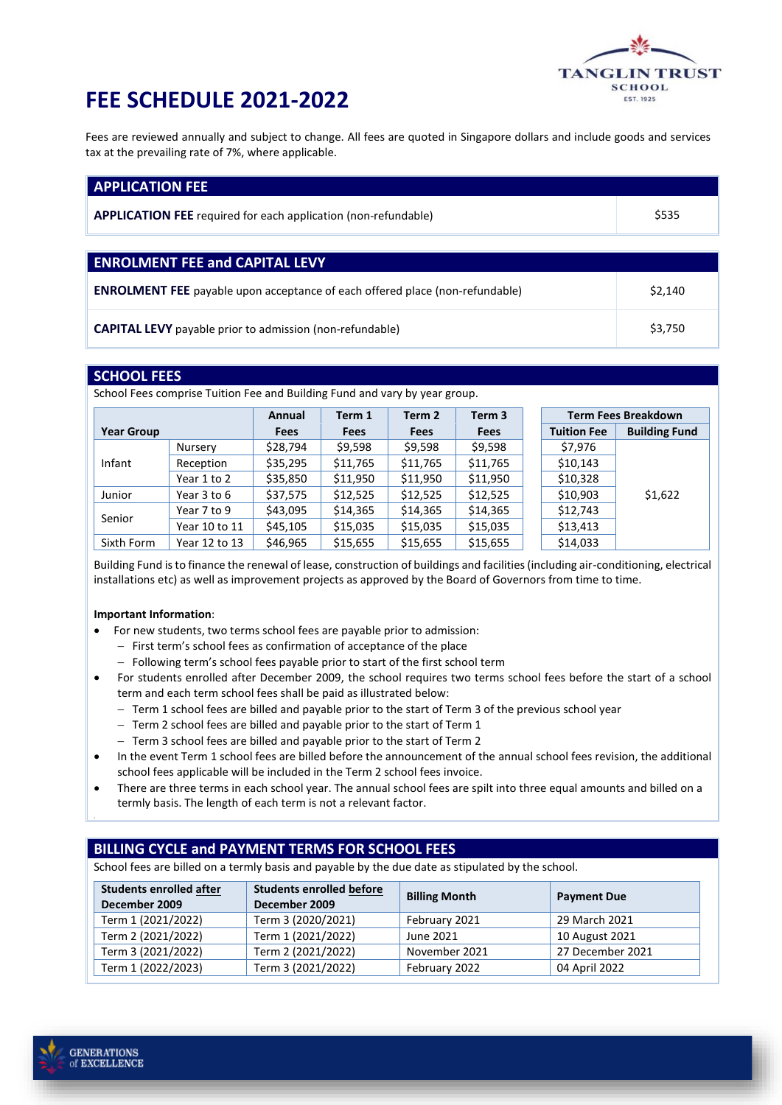

## **FEE SCHEDULE 2021-2022**

Fees are reviewed annually and subject to change. All fees are quoted in Singapore dollars and include goods and services tax at the prevailing rate of 7%, where applicable.

| <b>APPLICATION FEE</b>                                                              |         |  |  |
|-------------------------------------------------------------------------------------|---------|--|--|
| <b>APPLICATION FEE</b> required for each application (non-refundable)               | \$535   |  |  |
|                                                                                     |         |  |  |
| <b>ENROLMENT FEE and CAPITAL LEVY</b>                                               |         |  |  |
| <b>ENROLMENT FEE</b> payable upon acceptance of each offered place (non-refundable) | \$2,140 |  |  |
| <b>CAPITAL LEVY</b> payable prior to admission (non-refundable)                     | \$3,750 |  |  |

### **SCHOOL FEES**

School Fees comprise Tuition Fee and Building Fund and vary by year group.

|                   |               | Annual      | Term 1      | Term 2      | Term <sub>3</sub> | <b>Term Fees Breakdown</b> |                      |
|-------------------|---------------|-------------|-------------|-------------|-------------------|----------------------------|----------------------|
| <b>Year Group</b> |               | <b>Fees</b> | <b>Fees</b> | <b>Fees</b> | <b>Fees</b>       | <b>Tuition Fee</b>         | <b>Building Fund</b> |
| Infant            | Nursery       | \$28,794    | \$9,598     | \$9,598     | \$9,598           | \$7,976                    |                      |
|                   | Reception     | \$35,295    | \$11,765    | \$11,765    | \$11,765          | \$10,143                   |                      |
|                   | Year 1 to 2   | \$35,850    | \$11,950    | \$11,950    | \$11,950          | \$10,328                   |                      |
| Junior            | Year 3 to 6   | \$37,575    | \$12,525    | \$12,525    | \$12,525          | \$10,903                   | \$1,622              |
| Senior            | Year 7 to 9   | \$43,095    | \$14,365    | \$14,365    | \$14,365          | \$12,743                   |                      |
|                   | Year 10 to 11 | \$45,105    | \$15,035    | \$15,035    | \$15,035          | \$13,413                   |                      |
| Sixth Form        | Year 12 to 13 | \$46,965    | \$15,655    | \$15,655    | \$15,655          | \$14,033                   |                      |

Building Fund is to finance the renewal of lease, construction of buildings and facilities (including air-conditioning, electrical installations etc) as well as improvement projects as approved by the Board of Governors from time to time.

#### **Important Information**:

- For new students, two terms school fees are payable prior to admission:
	- − First term's school fees as confirmation of acceptance of the place
	- − Following term's school fees payable prior to start of the first school term
- For students enrolled after December 2009, the school requires two terms school fees before the start of a school term and each term school fees shall be paid as illustrated below:
	- − Term 1 school fees are billed and payable prior to the start of Term 3 of the previous school year
	- − Term 2 school fees are billed and payable prior to the start of Term 1
	- − Term 3 school fees are billed and payable prior to the start of Term 2
- In the event Term 1 school fees are billed before the announcement of the annual school fees revision, the additional school fees applicable will be included in the Term 2 school fees invoice.
- There are three terms in each school year. The annual school fees are spilt into three equal amounts and billed on a termly basis. The length of each term is not a relevant factor.

## **BILLING CYCLE and PAYMENT TERMS FOR SCHOOL FEES**

School fees are billed on a termly basis and payable by the due date as stipulated by the school.

| <b>Students enrolled after</b><br>December 2009 | <b>Students enrolled before</b><br>December 2009 | <b>Billing Month</b> | <b>Payment Due</b> |
|-------------------------------------------------|--------------------------------------------------|----------------------|--------------------|
| Term 1 (2021/2022)                              | Term 3 (2020/2021)                               | February 2021        | 29 March 2021      |
| Term 2 (2021/2022)                              | Term 1 (2021/2022)                               | June 2021            | 10 August 2021     |
| Term 3 (2021/2022)                              | Term 2 (2021/2022)                               | November 2021        | 27 December 2021   |
| Term 1 (2022/2023)                              | Term 3 (2021/2022)                               | February 2022        | 04 April 2022      |

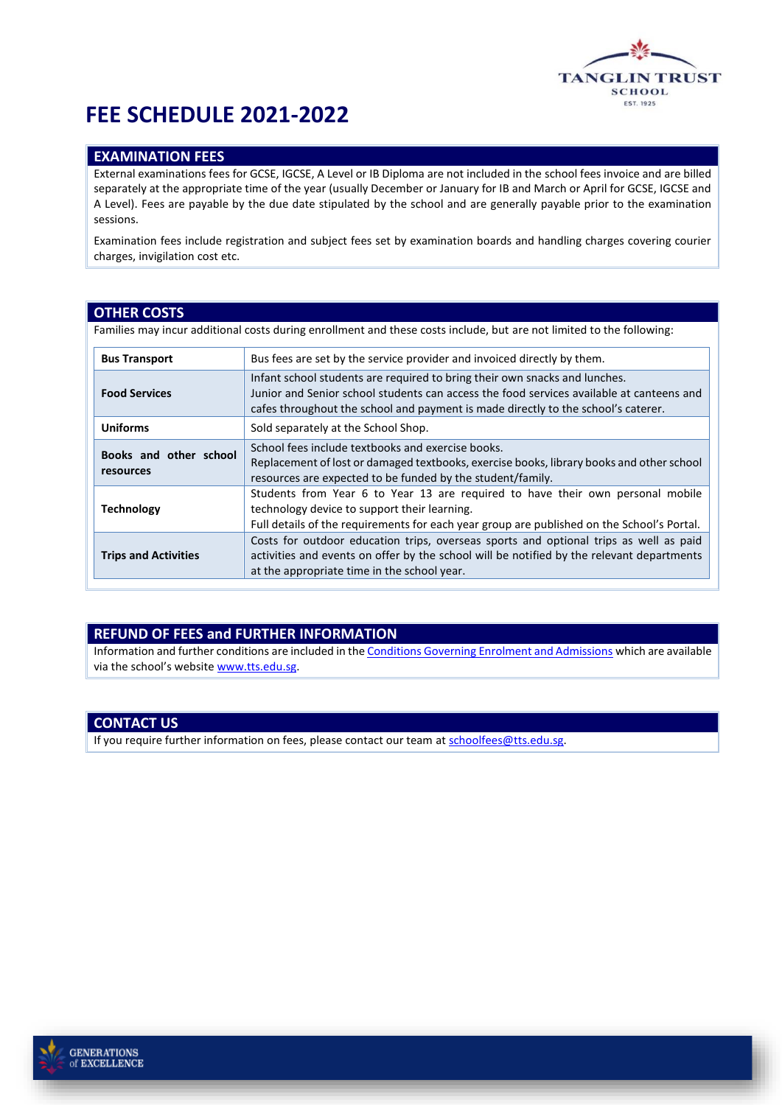

## **FEE SCHEDULE 2021-2022**

## **EXAMINATION FEES**

External examinations fees for GCSE, IGCSE, A Level or IB Diploma are not included in the school fees invoice and are billed separately at the appropriate time of the year (usually December or January for IB and March or April for GCSE, IGCSE and A Level). Fees are payable by the due date stipulated by the school and are generally payable prior to the examination sessions.

Examination fees include registration and subject fees set by examination boards and handling charges covering courier charges, invigilation cost etc.

#### **OTHER COSTS**

Families may incur additional costs during enrollment and these costs include, but are not limited to the following:

| <b>Bus Transport</b>                | Bus fees are set by the service provider and invoiced directly by them.                                                                                                                                                                                     |
|-------------------------------------|-------------------------------------------------------------------------------------------------------------------------------------------------------------------------------------------------------------------------------------------------------------|
| <b>Food Services</b>                | Infant school students are required to bring their own snacks and lunches.<br>Junior and Senior school students can access the food services available at canteens and<br>cafes throughout the school and payment is made directly to the school's caterer. |
| <b>Uniforms</b>                     | Sold separately at the School Shop.                                                                                                                                                                                                                         |
| Books and other school<br>resources | School fees include textbooks and exercise books.<br>Replacement of lost or damaged textbooks, exercise books, library books and other school<br>resources are expected to be funded by the student/family.                                                 |
| <b>Technology</b>                   | Students from Year 6 to Year 13 are required to have their own personal mobile<br>technology device to support their learning.<br>Full details of the requirements for each year group are published on the School's Portal.                                |
| <b>Trips and Activities</b>         | Costs for outdoor education trips, overseas sports and optional trips as well as paid<br>activities and events on offer by the school will be notified by the relevant departments<br>at the appropriate time in the school year.                           |

#### **REFUND OF FEES and FURTHER INFORMATION**

Information and further conditions are included in th[e Conditions Governing Enrolment and Admissions](https://resources.finalsite.net/images/v1560219933/ttsedusg/kfxdoupkrhydcfv9sjdx/conditions_governing_enrolment_and_admissions_rev_after_Dec09.pdf) which are available via the school's website [www.tts.edu.sg.](http://www.tts.edu.sg/)

#### **CONTACT US**

If you require further information on fees, please contact our team a[t schoolfees@tts.edu.sg.](mailto:schoolfees@tts.edu.sg)